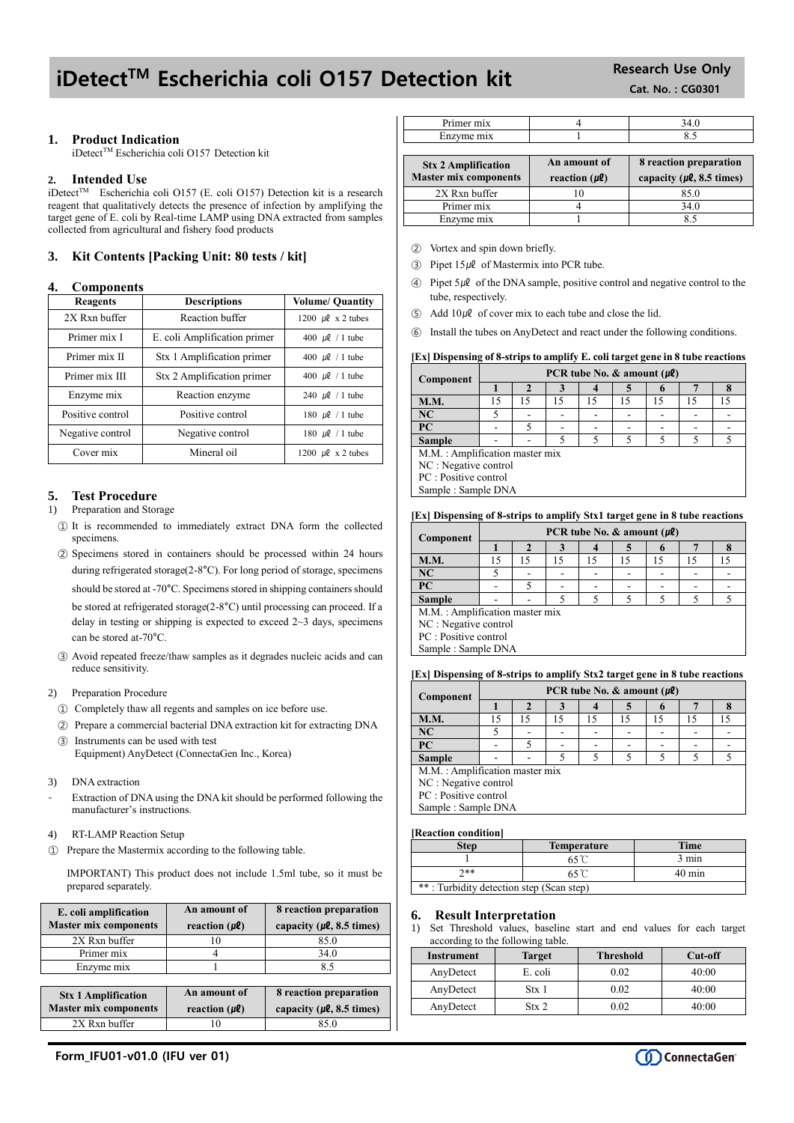# iDetect<sup>TM</sup> Escherichia coli 0157 Detection kit Research Use Only

## **1. Product Indication**

iDetect™ Escherichia coli O157 Detection kit

## **2. Intended Use**

iDetect™ Escherichia coli O157 (E. coli O157) Detection kit is a research reagent that qualitatively detects the presence of infection by amplifying the target gene of E. coli by Real-time LAMP using DNA extracted from samples collected from agricultural and fishery food products

# **3. Kit Contents [Packing Unit: 80 tests / kit]**

# **4. Components**

| <b>Reagents</b>  | <b>Descriptions</b>          | <b>Volume/ Quantity</b>     |
|------------------|------------------------------|-----------------------------|
| 2X Rxn buffer    | Reaction buffer              | 1200 $\mu$ l x 2 tubes      |
| Primer mix I     | E. coli Amplification primer | 400 $\mu$ l / 1 tube        |
| Primer mix II    | Stx 1 Amplification primer   | 400 $\mu$ l / 1 tube        |
| Primer mix III   | Stx 2 Amplification primer   | 400 $\mu$ l / 1 tube        |
| Enzyme mix       | Reaction enzyme              | 240 $\mu$ <i>l</i> / 1 tube |
| Positive control | Positive control             | 180 $\mu$ l / 1 tube        |
| Negative control | Negative control             | 180 $\mu$ l / 1 tube        |
| Cover mix        | Mineral oil                  | 1200 $\mu$ l x 2 tubes      |

# **5. Test Procedure**

## 1) Preparation and Storage

- ① It is recommended to immediately extract DNA form the collected specimens.
- ② Specimens stored in containers should be processed within 24 hours during refrigerated storage(2-8°C). For long period of storage, specimens should be stored at -70°C. Specimens stored in shipping containers should

be stored at refrigerated storage(2-8°C) until processing can proceed. If a delay in testing or shipping is expected to exceed  $2 \sim 3$  days, specimens can be stored at-70°C.

③ Avoid repeated freeze/thaw samples as it degrades nucleic acids and can reduce sensitivity.

### 2) Preparation Procedure

- ① Completely thaw all regents and samples on ice before use.
- ② Prepare a commercial bacterial DNA extraction kit for extracting DNA
- ③ Instruments can be used with test Equipment) AnyDetect (ConnectaGen Inc., Korea)
- 
- 3) DNA extraction
- Extraction of DNA using the DNA kit should be performed following the manufacturer's instructions.
- 4) RT-LAMP Reaction Setup
- ① Prepare the Mastermix according to the following table.

IMPORTANT) This product does not include 1.5ml tube, so it must be prepared separately.

| E. coli amplification<br><b>Master mix components</b>      | An amount of<br>reaction $(\mu \ell)$ | 8 reaction preparation<br>capacity ( $\mu$ <b>l</b> , 8.5 times) |
|------------------------------------------------------------|---------------------------------------|------------------------------------------------------------------|
| 2X Rxn buffer                                              |                                       | 85.0                                                             |
| Primer mix                                                 |                                       | 34.0                                                             |
| Enzyme mix                                                 |                                       | 8.5                                                              |
|                                                            |                                       |                                                                  |
| <b>Stx 1 Amplification</b><br><b>Master mix components</b> | An amount of<br>reaction $(\mu \ell)$ | 8 reaction preparation<br>capacity ( $\mu$ <b>l</b> , 8.5 times) |
| 2X Rxn buffer                                              |                                       | 85.0                                                             |

| ппл<br>---- | $\mathbf{o}$ . |
|-------------|----------------|

| <b>Stx 2 Amplification</b><br><b>Master mix components</b> | An amount of<br>reaction $(\mu \ell)$ | 8 reaction preparation<br>capacity ( $\mu$ <i>l</i> , 8.5 times) |
|------------------------------------------------------------|---------------------------------------|------------------------------------------------------------------|
| 2X Rxn buffer                                              |                                       | 85.0                                                             |
| Primer mix                                                 |                                       | 34.0                                                             |
| Enzyme mix                                                 |                                       |                                                                  |

- ② Vortex and spin down briefly.
- $\Omega$  Pipet 15µl of Mastermix into PCR tube.
- $\circledA$  Pipet 5µ $\ell$  of the DNA sample, positive control and negative control to the tube, respectively.
- $\Box$  Add  $10 \mu \ell$  of cover mix to each tube and close the lid.
- ⑥ Install the tubes on AnyDetect and react under the following conditions.

## **[Ex] Dispensing of 8-strips to amplify E. coli target gene in 8 tube reactions**

| Component   | PCR tube No. & amount $(\mu \ell)$ |  |   |   |                          |  |  |  |
|-------------|------------------------------------|--|---|---|--------------------------|--|--|--|
|             |                                    |  |   |   |                          |  |  |  |
| <b>M.M.</b> |                                    |  |   |   |                          |  |  |  |
| INU         |                                    |  | - | - | $\overline{\phantom{a}}$ |  |  |  |
|             |                                    |  | - |   | $\overline{\phantom{a}}$ |  |  |  |

**Sample**  $\vert \cdot \vert$  - 5 M.M. : Amplification master mix

NC : Negative control PC : Positive control

Sample : Sample DNA

### **[Ex] Dispensing of 8-strips to amplify Stx1 target gene in 8 tube reactions**

| Component                      | PCR tube No. & amount $(\mu \ell)$ |    |    |    |    |  |  |  |
|--------------------------------|------------------------------------|----|----|----|----|--|--|--|
|                                |                                    |    |    |    |    |  |  |  |
| <b>M.M.</b>                    |                                    | 15 | 15 | 15 | 15 |  |  |  |
| NC                             |                                    |    |    |    |    |  |  |  |
| PC                             |                                    |    |    |    |    |  |  |  |
| <b>Sample</b>                  |                                    |    |    |    |    |  |  |  |
| M.M.: Amplification master mix |                                    |    |    |    |    |  |  |  |
| NC : Negative control          |                                    |    |    |    |    |  |  |  |
| PC : Positive control          |                                    |    |    |    |    |  |  |  |
| Sample: Sample DNA             |                                    |    |    |    |    |  |  |  |

#### **[Ex] Dispensing of 8-strips to amplify Stx2 target gene in 8 tube reactions**

| Component                      | PCR tube No. & amount $(\mu \ell)$ |    |    |    |    |    |    |    |
|--------------------------------|------------------------------------|----|----|----|----|----|----|----|
|                                |                                    |    |    |    |    |    |    |    |
| <b>M.M.</b>                    |                                    | 15 | 15 | 15 | 15 | 15 | 15 | 15 |
| <b>NC</b>                      |                                    |    |    |    |    |    |    |    |
| PC                             |                                    |    |    |    |    |    |    |    |
| <b>Sample</b>                  |                                    |    |    |    |    |    |    |    |
| M.M.: Amplification master mix |                                    |    |    |    |    |    |    |    |
| NC : Negative control          |                                    |    |    |    |    |    |    |    |
| PC : Positive control          |                                    |    |    |    |    |    |    |    |
| Sample: Sample DNA             |                                    |    |    |    |    |    |    |    |

#### **[Reaction condition]**

| Step-                                    | <b>Temperature</b> | <b>Time</b>      |  |  |
|------------------------------------------|--------------------|------------------|--|--|
|                                          |                    | 3 min            |  |  |
| ገ∗∗                                      |                    | $40 \text{ min}$ |  |  |
| **: Turbidity detection step (Scan step) |                    |                  |  |  |

#### **6. Result Interpretation**

1) Set Threshold values, baseline start and end values for each target according to the following table.

| Instrument | <b>Target</b>    | <b>Threshold</b> | Cut-off |
|------------|------------------|------------------|---------|
| AnyDetect  | E. coli          | 0.02             | 40:00   |
| AnyDetect  | Stx 1            | 0.02             | 40:00   |
| AnyDetect  | Str <sub>2</sub> | 0.02             | 40:00   |